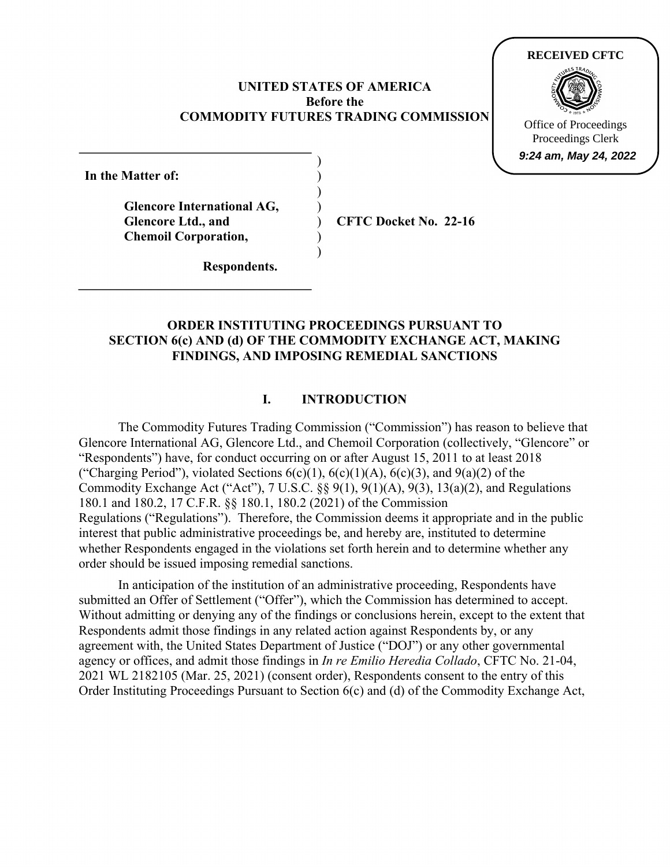## **UNITED STATES OF AMERICA Before the COMMODITY FUTURES TRADING COMMISSION**

) ) ) ) ) ) )

**In the Matter of:** 

**Glencore International AG, Glencore Ltd., and Chemoil Corporation,** 

**CFTC Docket No. 22-16**

**Respondents.** 

# **ORDER INSTITUTING PROCEEDINGS PURSUANT TO SECTION 6(c) AND (d) OF THE COMMODITY EXCHANGE ACT, MAKING FINDINGS, AND IMPOSING REMEDIAL SANCTIONS**

# **I. INTRODUCTION**

The Commodity Futures Trading Commission ("Commission") has reason to believe that Glencore International AG, Glencore Ltd., and Chemoil Corporation (collectively, "Glencore" or "Respondents") have, for conduct occurring on or after August 15, 2011 to at least 2018 ("Charging Period"), violated Sections  $6(c)(1)$ ,  $6(c)(1)(A)$ ,  $6(c)(3)$ , and  $9(a)(2)$  of the Commodity Exchange Act ("Act"), 7 U.S.C. §§ 9(1), 9(1)(A), 9(3), 13(a)(2), and Regulations 180.1 and 180.2, 17 C.F.R. §§ 180.1, 180.2 (2021) of the Commission Regulations ("Regulations"). Therefore, the Commission deems it appropriate and in the public interest that public administrative proceedings be, and hereby are, instituted to determine whether Respondents engaged in the violations set forth herein and to determine whether any order should be issued imposing remedial sanctions.

In anticipation of the institution of an administrative proceeding, Respondents have submitted an Offer of Settlement ("Offer"), which the Commission has determined to accept. Without admitting or denying any of the findings or conclusions herein, except to the extent that Respondents admit those findings in any related action against Respondents by, or any agreement with, the United States Department of Justice ("DOJ") or any other governmental agency or offices, and admit those findings in *In re Emilio Heredia Collado*, CFTC No. 21-04, 2021 WL 2182105 (Mar. 25, 2021) (consent order), Respondents consent to the entry of this Order Instituting Proceedings Pursuant to Section 6(c) and (d) of the Commodity Exchange Act,



Proceedings Clerk **9:24 am, May 24, 2022**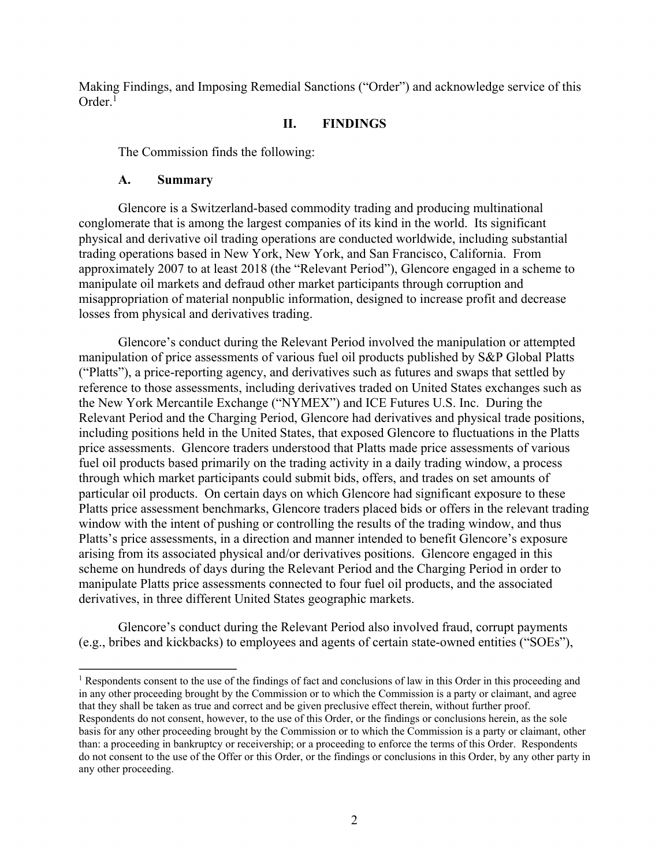Making Findings, and Imposing Remedial Sanctions ("Order") and acknowledge service of this Order.<sup>1</sup>

### **II. FINDINGS**

The Commission finds the following:

#### **A. Summary**

 $\overline{a}$ 

Glencore is a Switzerland-based commodity trading and producing multinational conglomerate that is among the largest companies of its kind in the world. Its significant physical and derivative oil trading operations are conducted worldwide, including substantial trading operations based in New York, New York, and San Francisco, California. From approximately 2007 to at least 2018 (the "Relevant Period"), Glencore engaged in a scheme to manipulate oil markets and defraud other market participants through corruption and misappropriation of material nonpublic information, designed to increase profit and decrease losses from physical and derivatives trading.

Glencore's conduct during the Relevant Period involved the manipulation or attempted manipulation of price assessments of various fuel oil products published by S&P Global Platts ("Platts"), a price-reporting agency, and derivatives such as futures and swaps that settled by reference to those assessments, including derivatives traded on United States exchanges such as the New York Mercantile Exchange ("NYMEX") and ICE Futures U.S. Inc. During the Relevant Period and the Charging Period, Glencore had derivatives and physical trade positions, including positions held in the United States, that exposed Glencore to fluctuations in the Platts price assessments. Glencore traders understood that Platts made price assessments of various fuel oil products based primarily on the trading activity in a daily trading window, a process through which market participants could submit bids, offers, and trades on set amounts of particular oil products. On certain days on which Glencore had significant exposure to these Platts price assessment benchmarks, Glencore traders placed bids or offers in the relevant trading window with the intent of pushing or controlling the results of the trading window, and thus Platts's price assessments, in a direction and manner intended to benefit Glencore's exposure arising from its associated physical and/or derivatives positions. Glencore engaged in this scheme on hundreds of days during the Relevant Period and the Charging Period in order to manipulate Platts price assessments connected to four fuel oil products, and the associated derivatives, in three different United States geographic markets.

Glencore's conduct during the Relevant Period also involved fraud, corrupt payments (e.g., bribes and kickbacks) to employees and agents of certain state-owned entities ("SOEs"),

<sup>&</sup>lt;sup>1</sup> Respondents consent to the use of the findings of fact and conclusions of law in this Order in this proceeding and in any other proceeding brought by the Commission or to which the Commission is a party or claimant, and agree that they shall be taken as true and correct and be given preclusive effect therein, without further proof. Respondents do not consent, however, to the use of this Order, or the findings or conclusions herein, as the sole basis for any other proceeding brought by the Commission or to which the Commission is a party or claimant, other than: a proceeding in bankruptcy or receivership; or a proceeding to enforce the terms of this Order. Respondents do not consent to the use of the Offer or this Order, or the findings or conclusions in this Order, by any other party in any other proceeding.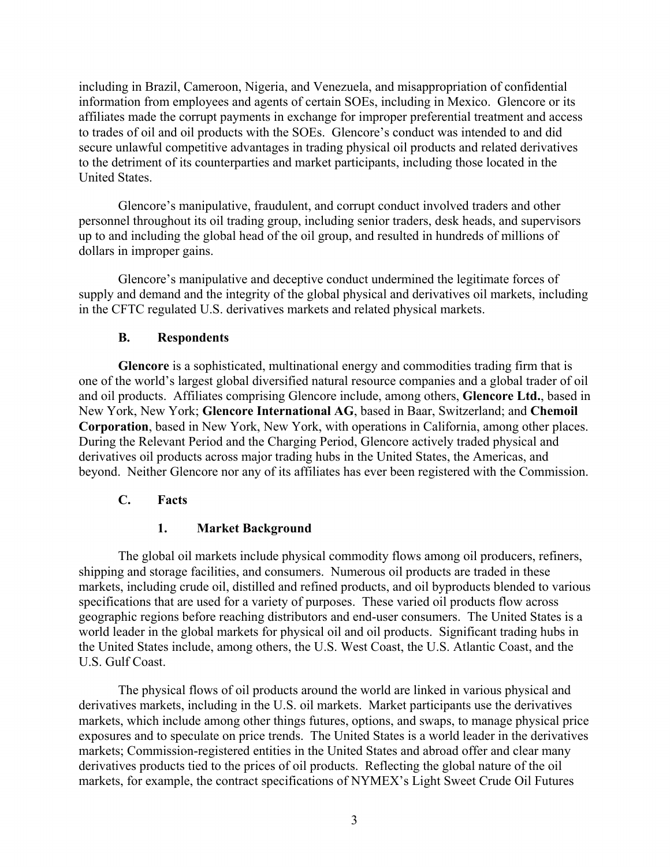including in Brazil, Cameroon, Nigeria, and Venezuela, and misappropriation of confidential information from employees and agents of certain SOEs, including in Mexico. Glencore or its affiliates made the corrupt payments in exchange for improper preferential treatment and access to trades of oil and oil products with the SOEs. Glencore's conduct was intended to and did secure unlawful competitive advantages in trading physical oil products and related derivatives to the detriment of its counterparties and market participants, including those located in the United States.

Glencore's manipulative, fraudulent, and corrupt conduct involved traders and other personnel throughout its oil trading group, including senior traders, desk heads, and supervisors up to and including the global head of the oil group, and resulted in hundreds of millions of dollars in improper gains.

Glencore's manipulative and deceptive conduct undermined the legitimate forces of supply and demand and the integrity of the global physical and derivatives oil markets, including in the CFTC regulated U.S. derivatives markets and related physical markets.

### **B. Respondents**

**Glencore** is a sophisticated, multinational energy and commodities trading firm that is one of the world's largest global diversified natural resource companies and a global trader of oil and oil products. Affiliates comprising Glencore include, among others, **Glencore Ltd.**, based in New York, New York; **Glencore International AG**, based in Baar, Switzerland; and **Chemoil Corporation**, based in New York, New York, with operations in California, among other places. During the Relevant Period and the Charging Period, Glencore actively traded physical and derivatives oil products across major trading hubs in the United States, the Americas, and beyond. Neither Glencore nor any of its affiliates has ever been registered with the Commission.

#### **C. Facts**

## **1. Market Background**

The global oil markets include physical commodity flows among oil producers, refiners, shipping and storage facilities, and consumers. Numerous oil products are traded in these markets, including crude oil, distilled and refined products, and oil byproducts blended to various specifications that are used for a variety of purposes. These varied oil products flow across geographic regions before reaching distributors and end-user consumers. The United States is a world leader in the global markets for physical oil and oil products. Significant trading hubs in the United States include, among others, the U.S. West Coast, the U.S. Atlantic Coast, and the U.S. Gulf Coast.

The physical flows of oil products around the world are linked in various physical and derivatives markets, including in the U.S. oil markets. Market participants use the derivatives markets, which include among other things futures, options, and swaps, to manage physical price exposures and to speculate on price trends. The United States is a world leader in the derivatives markets; Commission-registered entities in the United States and abroad offer and clear many derivatives products tied to the prices of oil products. Reflecting the global nature of the oil markets, for example, the contract specifications of NYMEX's Light Sweet Crude Oil Futures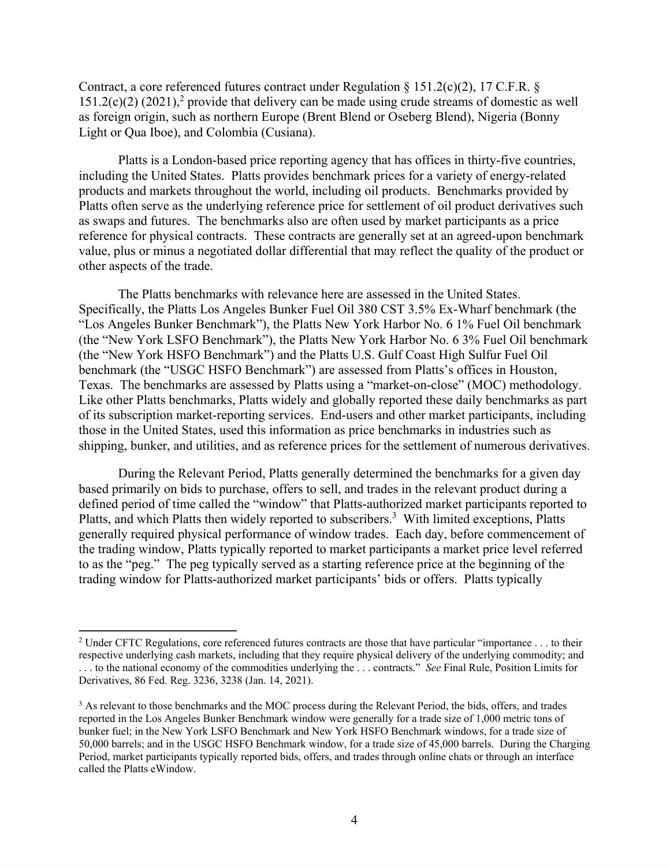Contract, a core referenced futures contract under Regulation  $\S 151.2(c)(2)$ , 17 C.F.R.  $\S$  $151.2(c)(2)$  (2021),<sup>2</sup> provide that delivery can be made using crude streams of domestic as well as foreign origin, such as northern Europe (Brent Blend or Oseberg Blend), Nigeria (Bonny Light or Qua Iboe), and Colombia (Cusiana).

Platts is a London-based price reporting agency that has offices in thirty-five countries, including the United States. Platts provides benchmark prices for a variety of energy-related products and markets throughout the world, including oil products. Benchmarks provided by Platts often serve as the underlying reference price for settlement of oil product derivatives such as swaps and futures. The benchmarks also are often used by market participants as a price reference for physical contracts. These contracts are generally set at an agreed-upon benchmark value, plus or minus a negotiated dollar differential that may reflect the quality of the product or other aspects of the trade.

The Platts benchmarks with relevance here are assessed in the United States. Specifically, the Platts Los Angeles Bunker Fuel Oil 380 CST 3.5% Ex-Wharf benchmark (the "Los Angeles Bunker Benchmark"), the Platts New York Harbor No. 6 1% Fuel Oil benchmark (the "New York LSFO Benchmark"), the Platts New York Harbor No. 6 3% Fuel Oil benchmark (the "New York HSFO Benchmark") and the Platts U.S. Gulf Coast High Sulfur Fuel Oil benchmark (the "USGC HSFO Benchmark") are assessed from Platts's offices in Houston, Texas. The benchmarks are assessed by Platts using a "market-on-close" (MOC) methodology. Like other Platts benchmarks, Platts widely and globally reported these daily benchmarks as part of its subscription market-reporting services. End-users and other market participants, including those in the United States, used this information as price benchmarks in industries such as shipping, bunker, and utilities, and as reference prices for the settlement of numerous derivatives.

During the Relevant Period, Platts generally determined the benchmarks for a given day based primarily on bids to purchase, offers to sell, and trades in the relevant product during a defined period of time called the "window" that Platts-authorized market participants reported to Platts, and which Platts then widely reported to subscribers.<sup>3</sup> With limited exceptions, Platts generally required physical performance of window trades. Each day, before commencement of the trading window, Platts typically reported to market participants a market price level referred to as the "peg." The peg typically served as a starting reference price at the beginning of the trading window for Platts-authorized market participants' bids or offers. Platts typically

<sup>&</sup>lt;sup>2</sup> Under CFTC Regulations, core referenced futures contracts are those that have particular "importance  $\dots$  to their respective underlying cash markets, including that they require physical delivery of the underlying commodity; and . . . to the national economy of the commodities underlying the . . . contracts." *See* Final Rule, Position Limits for Derivatives, 86 Fed. Reg. 3236, 3238 (Jan. 14, 2021).

<sup>&</sup>lt;sup>3</sup> As relevant to those benchmarks and the MOC process during the Relevant Period, the bids, offers, and trades reported in the Los Angeles Bunker Benchmark window were generally for a trade size of 1,000 metric tons of bunker fuel; in the New York LSFO Benchmark and New York HSFO Benchmark windows, for a trade size of 50,000 barrels; and in the USGC HSFO Benchmark window, for a trade size of 45,000 barrels. During the Charging Period, market participants typically reported bids, offers, and trades through online chats or through an interface called the Platts eWindow.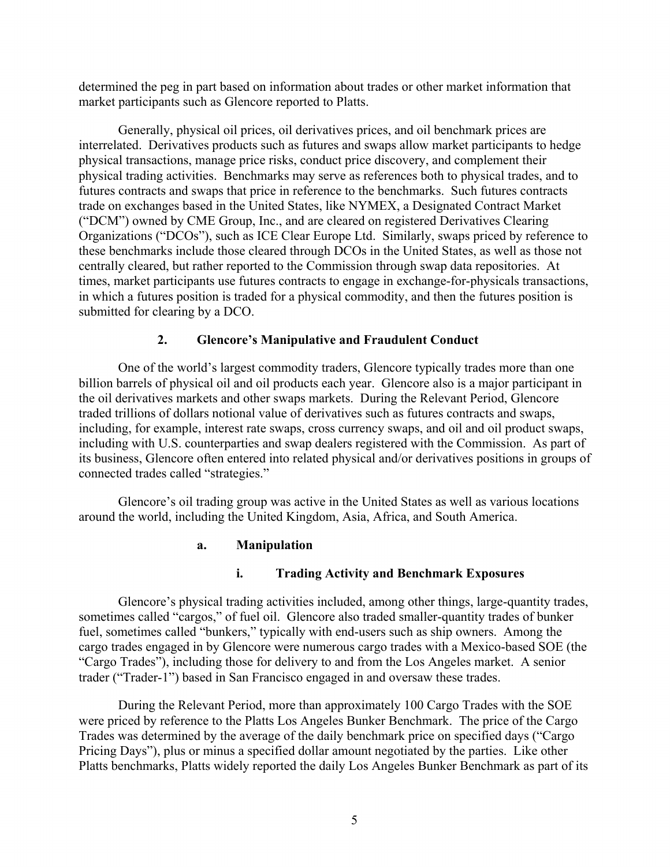determined the peg in part based on information about trades or other market information that market participants such as Glencore reported to Platts.

Generally, physical oil prices, oil derivatives prices, and oil benchmark prices are interrelated. Derivatives products such as futures and swaps allow market participants to hedge physical transactions, manage price risks, conduct price discovery, and complement their physical trading activities. Benchmarks may serve as references both to physical trades, and to futures contracts and swaps that price in reference to the benchmarks. Such futures contracts trade on exchanges based in the United States, like NYMEX, a Designated Contract Market ("DCM") owned by CME Group, Inc., and are cleared on registered Derivatives Clearing Organizations ("DCOs"), such as ICE Clear Europe Ltd. Similarly, swaps priced by reference to these benchmarks include those cleared through DCOs in the United States, as well as those not centrally cleared, but rather reported to the Commission through swap data repositories. At times, market participants use futures contracts to engage in exchange-for-physicals transactions, in which a futures position is traded for a physical commodity, and then the futures position is submitted for clearing by a DCO.

## **2. Glencore's Manipulative and Fraudulent Conduct**

One of the world's largest commodity traders, Glencore typically trades more than one billion barrels of physical oil and oil products each year. Glencore also is a major participant in the oil derivatives markets and other swaps markets. During the Relevant Period, Glencore traded trillions of dollars notional value of derivatives such as futures contracts and swaps, including, for example, interest rate swaps, cross currency swaps, and oil and oil product swaps, including with U.S. counterparties and swap dealers registered with the Commission. As part of its business, Glencore often entered into related physical and/or derivatives positions in groups of connected trades called "strategies."

Glencore's oil trading group was active in the United States as well as various locations around the world, including the United Kingdom, Asia, Africa, and South America.

## **a. Manipulation**

## **i. Trading Activity and Benchmark Exposures**

Glencore's physical trading activities included, among other things, large-quantity trades, sometimes called "cargos," of fuel oil. Glencore also traded smaller-quantity trades of bunker fuel, sometimes called "bunkers," typically with end-users such as ship owners. Among the cargo trades engaged in by Glencore were numerous cargo trades with a Mexico-based SOE (the "Cargo Trades"), including those for delivery to and from the Los Angeles market. A senior trader ("Trader-1") based in San Francisco engaged in and oversaw these trades.

During the Relevant Period, more than approximately 100 Cargo Trades with the SOE were priced by reference to the Platts Los Angeles Bunker Benchmark. The price of the Cargo Trades was determined by the average of the daily benchmark price on specified days ("Cargo Pricing Days"), plus or minus a specified dollar amount negotiated by the parties. Like other Platts benchmarks, Platts widely reported the daily Los Angeles Bunker Benchmark as part of its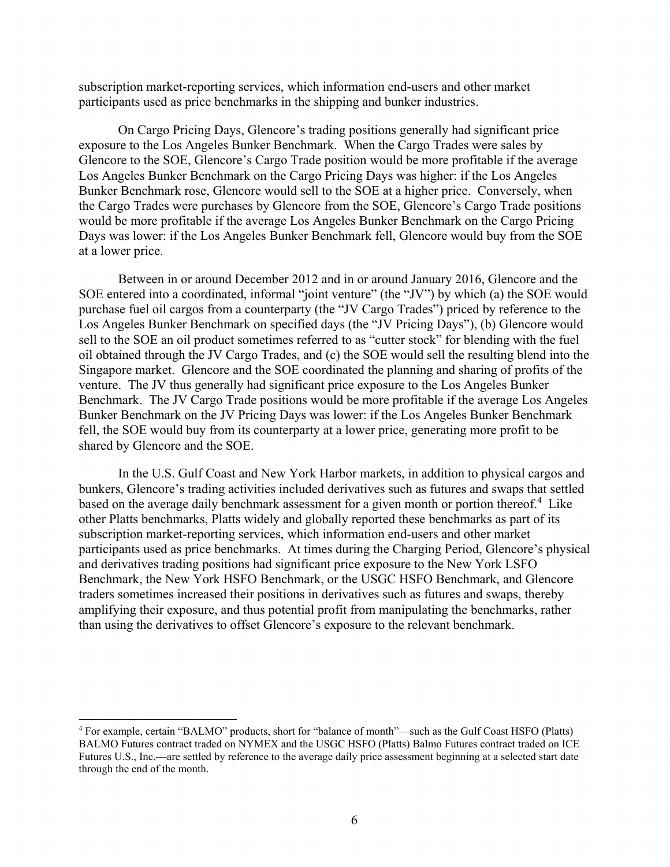subscription market-reporting services, which information end-users and other market participants used as price benchmarks in the shipping and bunker industries.

On Cargo Pricing Days, Glencore's trading positions generally had significant price exposure to the Los Angeles Bunker Benchmark. When the Cargo Trades were sales by Glencore to the SOE, Glencore's Cargo Trade position would be more profitable if the average Los Angeles Bunker Benchmark on the Cargo Pricing Days was higher: if the Los Angeles Bunker Benchmark rose, Glencore would sell to the SOE at a higher price. Conversely, when the Cargo Trades were purchases by Glencore from the SOE, Glencore's Cargo Trade positions would be more profitable if the average Los Angeles Bunker Benchmark on the Cargo Pricing Days was lower: if the Los Angeles Bunker Benchmark fell, Glencore would buy from the SOE at a lower price.

Between in or around December 2012 and in or around January 2016, Glencore and the SOE entered into a coordinated, informal "joint venture" (the "JV") by which (a) the SOE would purchase fuel oil cargos from a counterparty (the "JV Cargo Trades") priced by reference to the Los Angeles Bunker Benchmark on specified days (the "JV Pricing Days"), (b) Glencore would sell to the SOE an oil product sometimes referred to as "cutter stock" for blending with the fuel oil obtained through the JV Cargo Trades, and (c) the SOE would sell the resulting blend into the Singapore market. Glencore and the SOE coordinated the planning and sharing of profits of the venture. The JV thus generally had significant price exposure to the Los Angeles Bunker Benchmark. The JV Cargo Trade positions would be more profitable if the average Los Angeles Bunker Benchmark on the JV Pricing Days was lower: if the Los Angeles Bunker Benchmark fell, the SOE would buy from its counterparty at a lower price, generating more profit to be shared by Glencore and the SOE.

In the U.S. Gulf Coast and New York Harbor markets, in addition to physical cargos and bunkers, Glencore's trading activities included derivatives such as futures and swaps that settled based on the average daily benchmark assessment for a given month or portion thereof.<sup>4</sup> Like other Platts benchmarks, Platts widely and globally reported these benchmarks as part of its subscription market-reporting services, which information end-users and other market participants used as price benchmarks. At times during the Charging Period, Glencore's physical and derivatives trading positions had significant price exposure to the New York LSFO Benchmark, the New York HSFO Benchmark, or the USGC HSFO Benchmark, and Glencore traders sometimes increased their positions in derivatives such as futures and swaps, thereby amplifying their exposure, and thus potential profit from manipulating the benchmarks, rather than using the derivatives to offset Glencore's exposure to the relevant benchmark.

<sup>4</sup> For example, certain "BALMO" products, short for "balance of month"—such as the Gulf Coast HSFO (Platts) BALMO Futures contract traded on NYMEX and the USGC HSFO (Platts) Balmo Futures contract traded on ICE Futures U.S., Inc.—are settled by reference to the average daily price assessment beginning at a selected start date through the end of the month.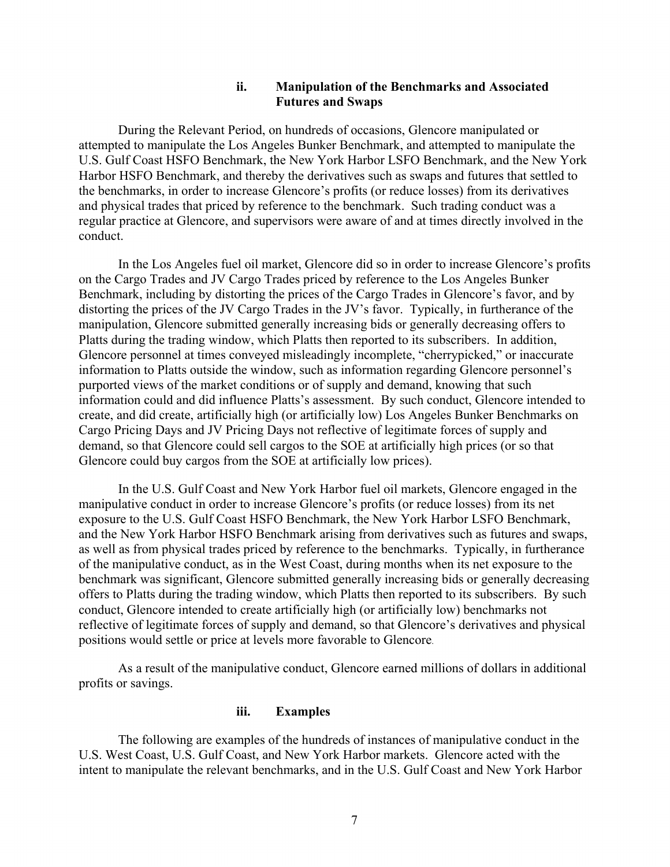### **ii. Manipulation of the Benchmarks and Associated Futures and Swaps**

During the Relevant Period, on hundreds of occasions, Glencore manipulated or attempted to manipulate the Los Angeles Bunker Benchmark, and attempted to manipulate the U.S. Gulf Coast HSFO Benchmark, the New York Harbor LSFO Benchmark, and the New York Harbor HSFO Benchmark, and thereby the derivatives such as swaps and futures that settled to the benchmarks, in order to increase Glencore's profits (or reduce losses) from its derivatives and physical trades that priced by reference to the benchmark. Such trading conduct was a regular practice at Glencore, and supervisors were aware of and at times directly involved in the conduct.

In the Los Angeles fuel oil market, Glencore did so in order to increase Glencore's profits on the Cargo Trades and JV Cargo Trades priced by reference to the Los Angeles Bunker Benchmark, including by distorting the prices of the Cargo Trades in Glencore's favor, and by distorting the prices of the JV Cargo Trades in the JV's favor. Typically, in furtherance of the manipulation, Glencore submitted generally increasing bids or generally decreasing offers to Platts during the trading window, which Platts then reported to its subscribers. In addition, Glencore personnel at times conveyed misleadingly incomplete, "cherrypicked," or inaccurate information to Platts outside the window, such as information regarding Glencore personnel's purported views of the market conditions or of supply and demand, knowing that such information could and did influence Platts's assessment. By such conduct, Glencore intended to create, and did create, artificially high (or artificially low) Los Angeles Bunker Benchmarks on Cargo Pricing Days and JV Pricing Days not reflective of legitimate forces of supply and demand, so that Glencore could sell cargos to the SOE at artificially high prices (or so that Glencore could buy cargos from the SOE at artificially low prices).

In the U.S. Gulf Coast and New York Harbor fuel oil markets, Glencore engaged in the manipulative conduct in order to increase Glencore's profits (or reduce losses) from its net exposure to the U.S. Gulf Coast HSFO Benchmark, the New York Harbor LSFO Benchmark, and the New York Harbor HSFO Benchmark arising from derivatives such as futures and swaps, as well as from physical trades priced by reference to the benchmarks. Typically, in furtherance of the manipulative conduct, as in the West Coast, during months when its net exposure to the benchmark was significant, Glencore submitted generally increasing bids or generally decreasing offers to Platts during the trading window, which Platts then reported to its subscribers. By such conduct, Glencore intended to create artificially high (or artificially low) benchmarks not reflective of legitimate forces of supply and demand, so that Glencore's derivatives and physical positions would settle or price at levels more favorable to Glencore.

As a result of the manipulative conduct, Glencore earned millions of dollars in additional profits or savings.

#### **iii. Examples**

The following are examples of the hundreds of instances of manipulative conduct in the U.S. West Coast, U.S. Gulf Coast, and New York Harbor markets. Glencore acted with the intent to manipulate the relevant benchmarks, and in the U.S. Gulf Coast and New York Harbor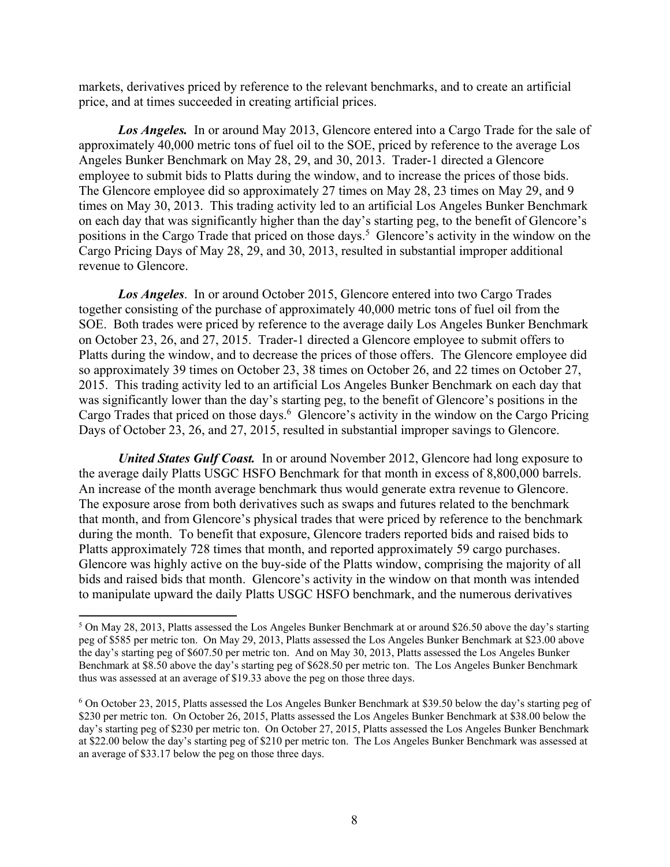markets, derivatives priced by reference to the relevant benchmarks, and to create an artificial price, and at times succeeded in creating artificial prices.

*Los Angeles.* In or around May 2013, Glencore entered into a Cargo Trade for the sale of approximately 40,000 metric tons of fuel oil to the SOE, priced by reference to the average Los Angeles Bunker Benchmark on May 28, 29, and 30, 2013. Trader-1 directed a Glencore employee to submit bids to Platts during the window, and to increase the prices of those bids. The Glencore employee did so approximately 27 times on May 28, 23 times on May 29, and 9 times on May 30, 2013. This trading activity led to an artificial Los Angeles Bunker Benchmark on each day that was significantly higher than the day's starting peg, to the benefit of Glencore's positions in the Cargo Trade that priced on those days.<sup>5</sup> Glencore's activity in the window on the Cargo Pricing Days of May 28, 29, and 30, 2013, resulted in substantial improper additional revenue to Glencore.

*Los Angeles*. In or around October 2015, Glencore entered into two Cargo Trades together consisting of the purchase of approximately 40,000 metric tons of fuel oil from the SOE. Both trades were priced by reference to the average daily Los Angeles Bunker Benchmark on October 23, 26, and 27, 2015. Trader-1 directed a Glencore employee to submit offers to Platts during the window, and to decrease the prices of those offers. The Glencore employee did so approximately 39 times on October 23, 38 times on October 26, and 22 times on October 27, 2015. This trading activity led to an artificial Los Angeles Bunker Benchmark on each day that was significantly lower than the day's starting peg, to the benefit of Glencore's positions in the Cargo Trades that priced on those days.<sup>6</sup> Glencore's activity in the window on the Cargo Pricing Days of October 23, 26, and 27, 2015, resulted in substantial improper savings to Glencore.

*United States Gulf Coast.* In or around November 2012, Glencore had long exposure to the average daily Platts USGC HSFO Benchmark for that month in excess of 8,800,000 barrels. An increase of the month average benchmark thus would generate extra revenue to Glencore. The exposure arose from both derivatives such as swaps and futures related to the benchmark that month, and from Glencore's physical trades that were priced by reference to the benchmark during the month. To benefit that exposure, Glencore traders reported bids and raised bids to Platts approximately 728 times that month, and reported approximately 59 cargo purchases. Glencore was highly active on the buy-side of the Platts window, comprising the majority of all bids and raised bids that month. Glencore's activity in the window on that month was intended to manipulate upward the daily Platts USGC HSFO benchmark, and the numerous derivatives

<sup>&</sup>lt;sup>5</sup> On May 28, 2013, Platts assessed the Los Angeles Bunker Benchmark at or around \$26.50 above the day's starting peg of \$585 per metric ton. On May 29, 2013, Platts assessed the Los Angeles Bunker Benchmark at \$23.00 above the day's starting peg of \$607.50 per metric ton. And on May 30, 2013, Platts assessed the Los Angeles Bunker Benchmark at \$8.50 above the day's starting peg of \$628.50 per metric ton. The Los Angeles Bunker Benchmark thus was assessed at an average of \$19.33 above the peg on those three days.

<sup>&</sup>lt;sup>6</sup> On October 23, 2015, Platts assessed the Los Angeles Bunker Benchmark at \$39.50 below the day's starting peg of \$230 per metric ton. On October 26, 2015, Platts assessed the Los Angeles Bunker Benchmark at \$38.00 below the day's starting peg of \$230 per metric ton. On October 27, 2015, Platts assessed the Los Angeles Bunker Benchmark at \$22.00 below the day's starting peg of \$210 per metric ton. The Los Angeles Bunker Benchmark was assessed at an average of \$33.17 below the peg on those three days.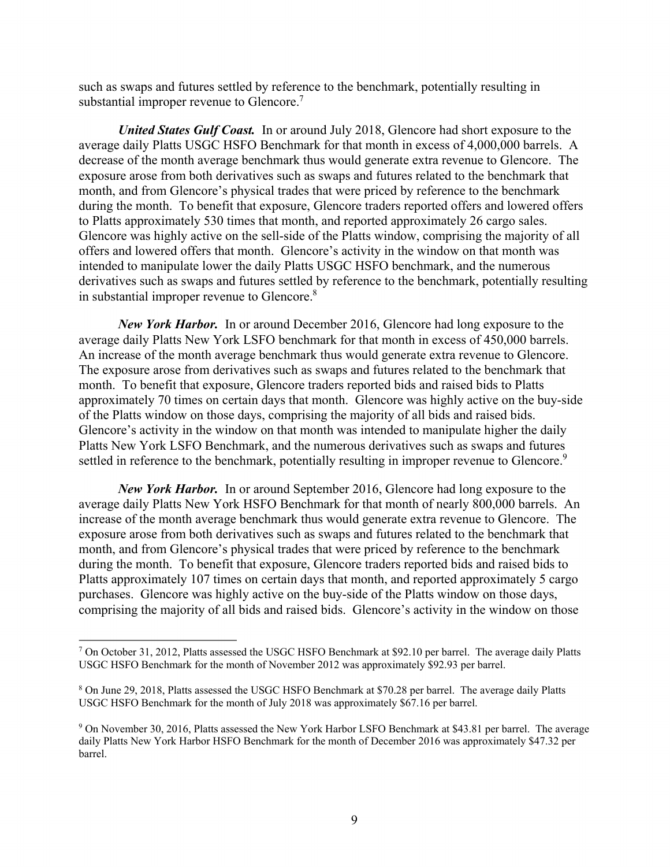such as swaps and futures settled by reference to the benchmark, potentially resulting in substantial improper revenue to Glencore.<sup>7</sup>

*United States Gulf Coast.* In or around July 2018, Glencore had short exposure to the average daily Platts USGC HSFO Benchmark for that month in excess of 4,000,000 barrels. A decrease of the month average benchmark thus would generate extra revenue to Glencore. The exposure arose from both derivatives such as swaps and futures related to the benchmark that month, and from Glencore's physical trades that were priced by reference to the benchmark during the month. To benefit that exposure, Glencore traders reported offers and lowered offers to Platts approximately 530 times that month, and reported approximately 26 cargo sales. Glencore was highly active on the sell-side of the Platts window, comprising the majority of all offers and lowered offers that month. Glencore's activity in the window on that month was intended to manipulate lower the daily Platts USGC HSFO benchmark, and the numerous derivatives such as swaps and futures settled by reference to the benchmark, potentially resulting in substantial improper revenue to Glencore.<sup>8</sup>

*New York Harbor.* In or around December 2016, Glencore had long exposure to the average daily Platts New York LSFO benchmark for that month in excess of 450,000 barrels. An increase of the month average benchmark thus would generate extra revenue to Glencore. The exposure arose from derivatives such as swaps and futures related to the benchmark that month. To benefit that exposure, Glencore traders reported bids and raised bids to Platts approximately 70 times on certain days that month. Glencore was highly active on the buy-side of the Platts window on those days, comprising the majority of all bids and raised bids. Glencore's activity in the window on that month was intended to manipulate higher the daily Platts New York LSFO Benchmark, and the numerous derivatives such as swaps and futures settled in reference to the benchmark, potentially resulting in improper revenue to Glencore.<sup>9</sup>

*New York Harbor.* In or around September 2016, Glencore had long exposure to the average daily Platts New York HSFO Benchmark for that month of nearly 800,000 barrels. An increase of the month average benchmark thus would generate extra revenue to Glencore. The exposure arose from both derivatives such as swaps and futures related to the benchmark that month, and from Glencore's physical trades that were priced by reference to the benchmark during the month. To benefit that exposure, Glencore traders reported bids and raised bids to Platts approximately 107 times on certain days that month, and reported approximately 5 cargo purchases. Glencore was highly active on the buy-side of the Platts window on those days, comprising the majority of all bids and raised bids. Glencore's activity in the window on those

<sup>&</sup>lt;sup>7</sup> On October 31, 2012, Platts assessed the USGC HSFO Benchmark at \$92.10 per barrel. The average daily Platts USGC HSFO Benchmark for the month of November 2012 was approximately \$92.93 per barrel.

<sup>&</sup>lt;sup>8</sup> On June 29, 2018, Platts assessed the USGC HSFO Benchmark at \$70.28 per barrel. The average daily Platts USGC HSFO Benchmark for the month of July 2018 was approximately \$67.16 per barrel.

<sup>&</sup>lt;sup>9</sup> On November 30, 2016, Platts assessed the New York Harbor LSFO Benchmark at \$43.81 per barrel. The average daily Platts New York Harbor HSFO Benchmark for the month of December 2016 was approximately \$47.32 per barrel.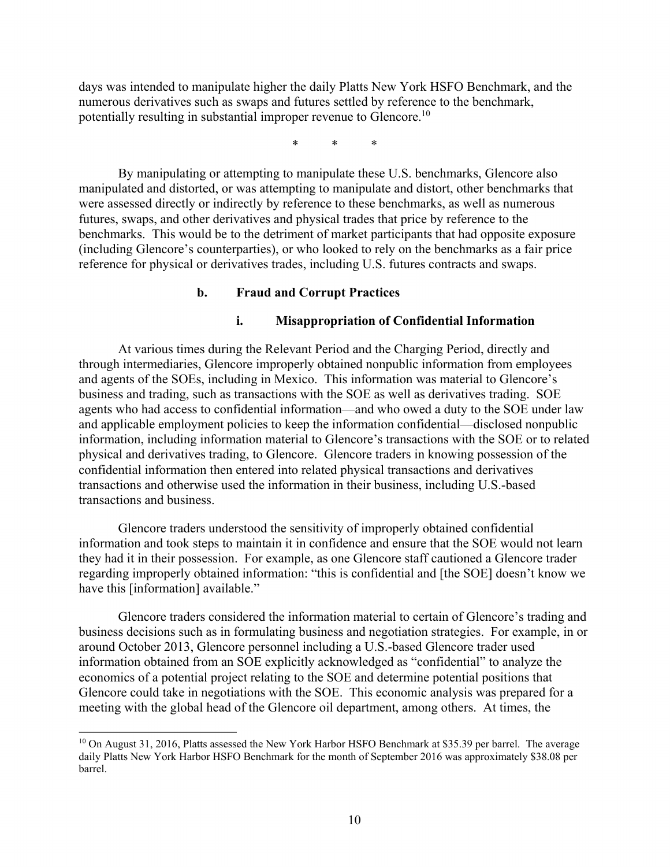days was intended to manipulate higher the daily Platts New York HSFO Benchmark, and the numerous derivatives such as swaps and futures settled by reference to the benchmark, potentially resulting in substantial improper revenue to Glencore.10

\* \* \*

By manipulating or attempting to manipulate these U.S. benchmarks, Glencore also manipulated and distorted, or was attempting to manipulate and distort, other benchmarks that were assessed directly or indirectly by reference to these benchmarks, as well as numerous futures, swaps, and other derivatives and physical trades that price by reference to the benchmarks. This would be to the detriment of market participants that had opposite exposure (including Glencore's counterparties), or who looked to rely on the benchmarks as a fair price reference for physical or derivatives trades, including U.S. futures contracts and swaps.

#### **b. Fraud and Corrupt Practices**

#### **i. Misappropriation of Confidential Information**

At various times during the Relevant Period and the Charging Period, directly and through intermediaries, Glencore improperly obtained nonpublic information from employees and agents of the SOEs, including in Mexico. This information was material to Glencore's business and trading, such as transactions with the SOE as well as derivatives trading. SOE agents who had access to confidential information—and who owed a duty to the SOE under law and applicable employment policies to keep the information confidential—disclosed nonpublic information, including information material to Glencore's transactions with the SOE or to related physical and derivatives trading, to Glencore. Glencore traders in knowing possession of the confidential information then entered into related physical transactions and derivatives transactions and otherwise used the information in their business, including U.S.-based transactions and business.

Glencore traders understood the sensitivity of improperly obtained confidential information and took steps to maintain it in confidence and ensure that the SOE would not learn they had it in their possession. For example, as one Glencore staff cautioned a Glencore trader regarding improperly obtained information: "this is confidential and [the SOE] doesn't know we have this [information] available."

Glencore traders considered the information material to certain of Glencore's trading and business decisions such as in formulating business and negotiation strategies. For example, in or around October 2013, Glencore personnel including a U.S.-based Glencore trader used information obtained from an SOE explicitly acknowledged as "confidential" to analyze the economics of a potential project relating to the SOE and determine potential positions that Glencore could take in negotiations with the SOE. This economic analysis was prepared for a meeting with the global head of the Glencore oil department, among others. At times, the

<sup>&</sup>lt;sup>10</sup> On August 31, 2016, Platts assessed the New York Harbor HSFO Benchmark at \$35.39 per barrel. The average daily Platts New York Harbor HSFO Benchmark for the month of September 2016 was approximately \$38.08 per barrel.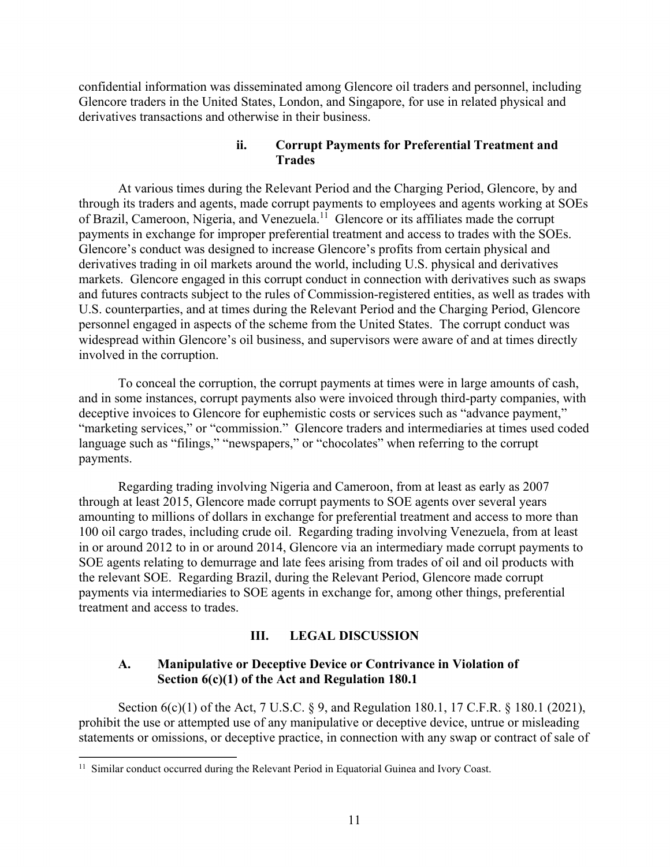confidential information was disseminated among Glencore oil traders and personnel, including Glencore traders in the United States, London, and Singapore, for use in related physical and derivatives transactions and otherwise in their business.

# **ii. Corrupt Payments for Preferential Treatment and Trades**

At various times during the Relevant Period and the Charging Period, Glencore, by and through its traders and agents, made corrupt payments to employees and agents working at SOEs of Brazil, Cameroon, Nigeria, and Venezuela.<sup>11</sup> Glencore or its affiliates made the corrupt payments in exchange for improper preferential treatment and access to trades with the SOEs. Glencore's conduct was designed to increase Glencore's profits from certain physical and derivatives trading in oil markets around the world, including U.S. physical and derivatives markets. Glencore engaged in this corrupt conduct in connection with derivatives such as swaps and futures contracts subject to the rules of Commission-registered entities, as well as trades with U.S. counterparties, and at times during the Relevant Period and the Charging Period, Glencore personnel engaged in aspects of the scheme from the United States. The corrupt conduct was widespread within Glencore's oil business, and supervisors were aware of and at times directly involved in the corruption.

To conceal the corruption, the corrupt payments at times were in large amounts of cash, and in some instances, corrupt payments also were invoiced through third-party companies, with deceptive invoices to Glencore for euphemistic costs or services such as "advance payment," "marketing services," or "commission." Glencore traders and intermediaries at times used coded language such as "filings," "newspapers," or "chocolates" when referring to the corrupt payments.

Regarding trading involving Nigeria and Cameroon, from at least as early as 2007 through at least 2015, Glencore made corrupt payments to SOE agents over several years amounting to millions of dollars in exchange for preferential treatment and access to more than 100 oil cargo trades, including crude oil. Regarding trading involving Venezuela, from at least in or around 2012 to in or around 2014, Glencore via an intermediary made corrupt payments to SOE agents relating to demurrage and late fees arising from trades of oil and oil products with the relevant SOE. Regarding Brazil, during the Relevant Period, Glencore made corrupt payments via intermediaries to SOE agents in exchange for, among other things, preferential treatment and access to trades.

# **III. LEGAL DISCUSSION**

# **A. Manipulative or Deceptive Device or Contrivance in Violation of Section 6(c)(1) of the Act and Regulation 180.1**

Section 6(c)(1) of the Act, 7 U.S.C. § 9, and Regulation 180.1, 17 C.F.R. § 180.1 (2021), prohibit the use or attempted use of any manipulative or deceptive device, untrue or misleading statements or omissions, or deceptive practice, in connection with any swap or contract of sale of

 $\overline{\phantom{a}}$ 

<sup>&</sup>lt;sup>11</sup> Similar conduct occurred during the Relevant Period in Equatorial Guinea and Ivory Coast.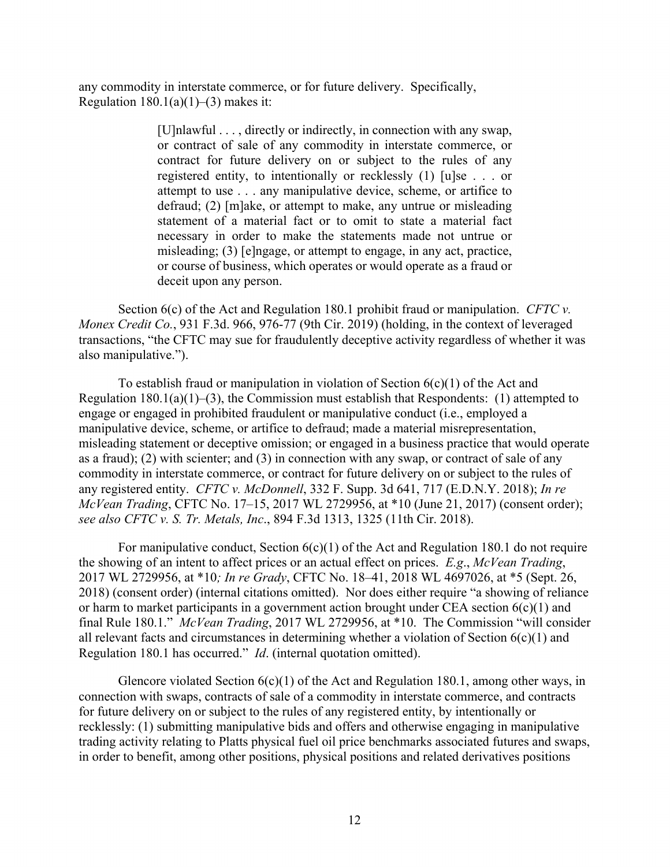any commodity in interstate commerce, or for future delivery. Specifically, Regulation  $180.1(a)(1)–(3)$  makes it:

> [U]nlawful . . . , directly or indirectly, in connection with any swap, or contract of sale of any commodity in interstate commerce, or contract for future delivery on or subject to the rules of any registered entity, to intentionally or recklessly (1) [u]se . . . or attempt to use . . . any manipulative device, scheme, or artifice to defraud; (2) [m]ake, or attempt to make, any untrue or misleading statement of a material fact or to omit to state a material fact necessary in order to make the statements made not untrue or misleading; (3) [e]ngage, or attempt to engage, in any act, practice, or course of business, which operates or would operate as a fraud or deceit upon any person.

Section 6(c) of the Act and Regulation 180.1 prohibit fraud or manipulation. *CFTC v. Monex Credit Co.*, 931 F.3d. 966, 976-77 (9th Cir. 2019) (holding, in the context of leveraged transactions, "the CFTC may sue for fraudulently deceptive activity regardless of whether it was also manipulative.").

To establish fraud or manipulation in violation of Section  $6(c)(1)$  of the Act and Regulation  $180.1(a)(1)–(3)$ , the Commission must establish that Respondents: (1) attempted to engage or engaged in prohibited fraudulent or manipulative conduct (i.e., employed a manipulative device, scheme, or artifice to defraud; made a material misrepresentation, misleading statement or deceptive omission; or engaged in a business practice that would operate as a fraud); (2) with scienter; and (3) in connection with any swap, or contract of sale of any commodity in interstate commerce, or contract for future delivery on or subject to the rules of any registered entity. *CFTC v. McDonnell*, 332 F. Supp. 3d 641, 717 (E.D.N.Y. 2018); *In re McVean Trading*, CFTC No. 17–15, 2017 WL 2729956, at \*10 (June 21, 2017) (consent order); *see also CFTC v. S. Tr. Metals, Inc*., 894 F.3d 1313, 1325 (11th Cir. 2018).

For manipulative conduct, Section  $6(c)(1)$  of the Act and Regulation 180.1 do not require the showing of an intent to affect prices or an actual effect on prices. *E.g*., *McVean Trading*, 2017 WL 2729956, at \*10*; In re Grady*, CFTC No. 18–41, 2018 WL 4697026, at \*5 (Sept. 26, 2018) (consent order) (internal citations omitted). Nor does either require "a showing of reliance or harm to market participants in a government action brought under CEA section  $6(c)(1)$  and final Rule 180.1." *McVean Trading*, 2017 WL 2729956, at \*10. The Commission "will consider all relevant facts and circumstances in determining whether a violation of Section  $6(c)(1)$  and Regulation 180.1 has occurred." *Id*. (internal quotation omitted).

Glencore violated Section  $6(c)(1)$  of the Act and Regulation 180.1, among other ways, in connection with swaps, contracts of sale of a commodity in interstate commerce, and contracts for future delivery on or subject to the rules of any registered entity, by intentionally or recklessly: (1) submitting manipulative bids and offers and otherwise engaging in manipulative trading activity relating to Platts physical fuel oil price benchmarks associated futures and swaps, in order to benefit, among other positions, physical positions and related derivatives positions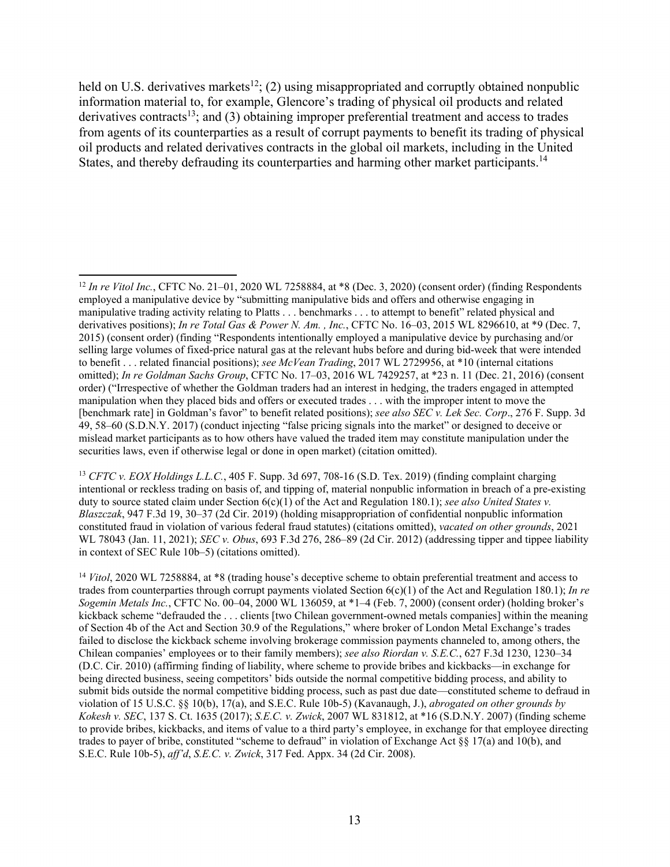held on U.S. derivatives markets<sup>12</sup>; (2) using misappropriated and corruptly obtained nonpublic information material to, for example, Glencore's trading of physical oil products and related derivatives contracts<sup>13</sup>; and (3) obtaining improper preferential treatment and access to trades from agents of its counterparties as a result of corrupt payments to benefit its trading of physical oil products and related derivatives contracts in the global oil markets, including in the United States, and thereby defrauding its counterparties and harming other market participants.<sup>14</sup>

 $\overline{a}$ 

<sup>13</sup> *CFTC v. EOX Holdings L.L.C.*, 405 F. Supp. 3d 697, 708-16 (S.D. Tex. 2019) (finding complaint charging intentional or reckless trading on basis of, and tipping of, material nonpublic information in breach of a pre-existing duty to source stated claim under Section 6(c)(1) of the Act and Regulation 180.1); *see also United States v. Blaszczak*, 947 F.3d 19, 30–37 (2d Cir. 2019) (holding misappropriation of confidential nonpublic information constituted fraud in violation of various federal fraud statutes) (citations omitted), *vacated on other grounds*, 2021 WL 78043 (Jan. 11, 2021); *SEC v. Obus*, 693 F.3d 276, 286–89 (2d Cir. 2012) (addressing tipper and tippee liability in context of SEC Rule 10b–5) (citations omitted).

<sup>14</sup> *Vitol*, 2020 WL 7258884, at \*8 (trading house's deceptive scheme to obtain preferential treatment and access to trades from counterparties through corrupt payments violated Section 6(c)(1) of the Act and Regulation 180.1); *In re Sogemin Metals Inc.*, CFTC No. 00–04, 2000 WL 136059, at \*1–4 (Feb. 7, 2000) (consent order) (holding broker's kickback scheme "defrauded the . . . clients [two Chilean government-owned metals companies] within the meaning of Section 4b of the Act and Section 30.9 of the Regulations," where broker of London Metal Exchange's trades failed to disclose the kickback scheme involving brokerage commission payments channeled to, among others, the Chilean companies' employees or to their family members); *see also Riordan v. S.E.C.*, 627 F.3d 1230, 1230–34 (D.C. Cir. 2010) (affirming finding of liability, where scheme to provide bribes and kickbacks—in exchange for being directed business, seeing competitors' bids outside the normal competitive bidding process, and ability to submit bids outside the normal competitive bidding process, such as past due date—constituted scheme to defraud in violation of 15 U.S.C. §§ 10(b), 17(a), and S.E.C. Rule 10b-5) (Kavanaugh, J.), *abrogated on other grounds by Kokesh v. SEC*, 137 S. Ct. 1635 (2017); *S.E.C. v. Zwick*, 2007 WL 831812, at \*16 (S.D.N.Y. 2007) (finding scheme to provide bribes, kickbacks, and items of value to a third party's employee, in exchange for that employee directing trades to payer of bribe, constituted "scheme to defraud" in violation of Exchange Act §§ 17(a) and 10(b), and S.E.C. Rule 10b-5), *aff'd*, *S.E.C. v. Zwick*, 317 Fed. Appx. 34 (2d Cir. 2008).

<sup>12</sup> *In re Vitol Inc.*, CFTC No. 21–01, 2020 WL 7258884, at \*8 (Dec. 3, 2020) (consent order) (finding Respondents employed a manipulative device by "submitting manipulative bids and offers and otherwise engaging in manipulative trading activity relating to Platts . . . benchmarks . . . to attempt to benefit" related physical and derivatives positions); *In re Total Gas & Power N. Am. , Inc.*, CFTC No. 16–03, 2015 WL 8296610, at \*9 (Dec. 7, 2015) (consent order) (finding "Respondents intentionally employed a manipulative device by purchasing and/or selling large volumes of fixed-price natural gas at the relevant hubs before and during bid-week that were intended to benefit . . . related financial positions); *see McVean Trading*, 2017 WL 2729956, at \*10 (internal citations omitted); *In re Goldman Sachs Group*, CFTC No. 17–03, 2016 WL 7429257, at \*23 n. 11 (Dec. 21, 2016) (consent order) ("Irrespective of whether the Goldman traders had an interest in hedging, the traders engaged in attempted manipulation when they placed bids and offers or executed trades . . . with the improper intent to move the [benchmark rate] in Goldman's favor" to benefit related positions); *see also SEC v. Lek Sec. Corp*., 276 F. Supp. 3d 49, 58–60 (S.D.N.Y. 2017) (conduct injecting "false pricing signals into the market" or designed to deceive or mislead market participants as to how others have valued the traded item may constitute manipulation under the securities laws, even if otherwise legal or done in open market) (citation omitted).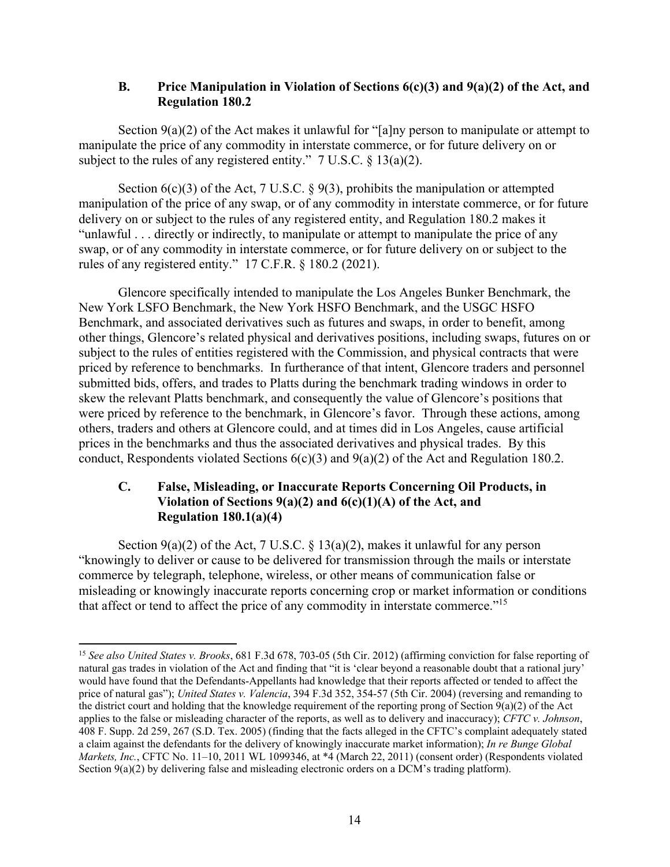## **B. Price Manipulation in Violation of Sections 6(c)(3) and 9(a)(2) of the Act, and Regulation 180.2**

Section  $9(a)(2)$  of the Act makes it unlawful for "[a]ny person to manipulate or attempt to manipulate the price of any commodity in interstate commerce, or for future delivery on or subject to the rules of any registered entity." 7 U.S.C. § 13(a)(2).

Section  $6(c)(3)$  of the Act, 7 U.S.C. § 9(3), prohibits the manipulation or attempted manipulation of the price of any swap, or of any commodity in interstate commerce, or for future delivery on or subject to the rules of any registered entity, and Regulation 180.2 makes it "unlawful . . . directly or indirectly, to manipulate or attempt to manipulate the price of any swap, or of any commodity in interstate commerce, or for future delivery on or subject to the rules of any registered entity." 17 C.F.R. § 180.2 (2021).

Glencore specifically intended to manipulate the Los Angeles Bunker Benchmark, the New York LSFO Benchmark, the New York HSFO Benchmark, and the USGC HSFO Benchmark, and associated derivatives such as futures and swaps, in order to benefit, among other things, Glencore's related physical and derivatives positions, including swaps, futures on or subject to the rules of entities registered with the Commission, and physical contracts that were priced by reference to benchmarks. In furtherance of that intent, Glencore traders and personnel submitted bids, offers, and trades to Platts during the benchmark trading windows in order to skew the relevant Platts benchmark, and consequently the value of Glencore's positions that were priced by reference to the benchmark, in Glencore's favor. Through these actions, among others, traders and others at Glencore could, and at times did in Los Angeles, cause artificial prices in the benchmarks and thus the associated derivatives and physical trades. By this conduct, Respondents violated Sections  $6(c)(3)$  and  $9(a)(2)$  of the Act and Regulation 180.2.

# **C. False, Misleading, or Inaccurate Reports Concerning Oil Products, in Violation of Sections 9(a)(2) and 6(c)(1)(A) of the Act, and Regulation 180.1(a)(4)**

Section  $9(a)(2)$  of the Act, 7 U.S.C. § 13(a)(2), makes it unlawful for any person "knowingly to deliver or cause to be delivered for transmission through the mails or interstate commerce by telegraph, telephone, wireless, or other means of communication false or misleading or knowingly inaccurate reports concerning crop or market information or conditions that affect or tend to affect the price of any commodity in interstate commerce."15

<sup>15</sup> *See also United States v. Brooks*, 681 F.3d 678, 703-05 (5th Cir. 2012) (affirming conviction for false reporting of natural gas trades in violation of the Act and finding that "it is 'clear beyond a reasonable doubt that a rational jury' would have found that the Defendants-Appellants had knowledge that their reports affected or tended to affect the price of natural gas"); *United States v. Valencia*, 394 F.3d 352, 354-57 (5th Cir. 2004) (reversing and remanding to the district court and holding that the knowledge requirement of the reporting prong of Section 9(a)(2) of the Act applies to the false or misleading character of the reports, as well as to delivery and inaccuracy); *CFTC v. Johnson*, 408 F. Supp. 2d 259, 267 (S.D. Tex. 2005) (finding that the facts alleged in the CFTC's complaint adequately stated a claim against the defendants for the delivery of knowingly inaccurate market information); *In re Bunge Global Markets, Inc.*, CFTC No. 11–10, 2011 WL 1099346, at \*4 (March 22, 2011) (consent order) (Respondents violated Section 9(a)(2) by delivering false and misleading electronic orders on a DCM's trading platform).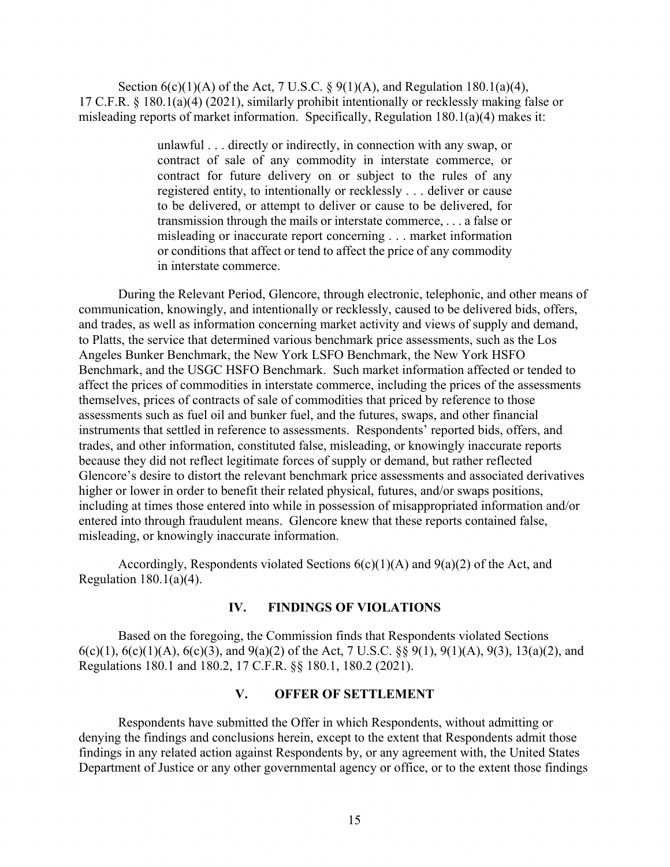Section  $6(c)(1)(A)$  of the Act, 7 U.S.C. §  $9(1)(A)$ , and Regulation 180.1(a)(4), 17 C.F.R. § 180.1(a)(4) (2021), similarly prohibit intentionally or recklessly making false or misleading reports of market information. Specifically, Regulation 180.1(a)(4) makes it:

> unlawful . . . directly or indirectly, in connection with any swap, or contract of sale of any commodity in interstate commerce, or contract for future delivery on or subject to the rules of any registered entity, to intentionally or recklessly . . . deliver or cause to be delivered, or attempt to deliver or cause to be delivered, for transmission through the mails or interstate commerce, . . . a false or misleading or inaccurate report concerning . . . market information or conditions that affect or tend to affect the price of any commodity in interstate commerce.

During the Relevant Period, Glencore, through electronic, telephonic, and other means of communication, knowingly, and intentionally or recklessly, caused to be delivered bids, offers, and trades, as well as information concerning market activity and views of supply and demand, to Platts, the service that determined various benchmark price assessments, such as the Los Angeles Bunker Benchmark, the New York LSFO Benchmark, the New York HSFO Benchmark, and the USGC HSFO Benchmark. Such market information affected or tended to affect the prices of commodities in interstate commerce, including the prices of the assessments themselves, prices of contracts of sale of commodities that priced by reference to those assessments such as fuel oil and bunker fuel, and the futures, swaps, and other financial instruments that settled in reference to assessments. Respondents' reported bids, offers, and trades, and other information, constituted false, misleading, or knowingly inaccurate reports because they did not reflect legitimate forces of supply or demand, but rather reflected Glencore's desire to distort the relevant benchmark price assessments and associated derivatives higher or lower in order to benefit their related physical, futures, and/or swaps positions, including at times those entered into while in possession of misappropriated information and/or entered into through fraudulent means. Glencore knew that these reports contained false, misleading, or knowingly inaccurate information.

Accordingly, Respondents violated Sections  $6(c)(1)(A)$  and  $9(a)(2)$  of the Act, and Regulation  $180.1(a)(4)$ .

#### **IV. FINDINGS OF VIOLATIONS**

Based on the foregoing, the Commission finds that Respondents violated Sections 6(c)(1), 6(c)(1)(A), 6(c)(3), and 9(a)(2) of the Act, 7 U.S.C. §§ 9(1), 9(1)(A), 9(3), 13(a)(2), and Regulations 180.1 and 180.2, 17 C.F.R. §§ 180.1, 180.2 (2021).

### **V. OFFER OF SETTLEMENT**

Respondents have submitted the Offer in which Respondents, without admitting or denying the findings and conclusions herein, except to the extent that Respondents admit those findings in any related action against Respondents by, or any agreement with, the United States Department of Justice or any other governmental agency or office, or to the extent those findings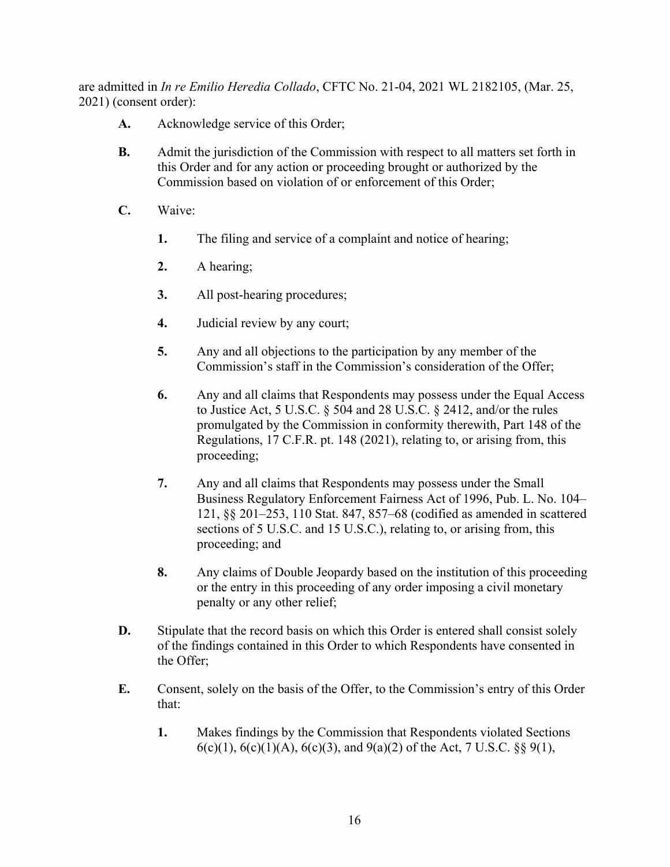are admitted in *In re Emilio Heredia Collado*, CFTC No. 21-04, 2021 WL 2182105, (Mar. 25, 2021) (consent order):

- **A.** Acknowledge service of this Order;
- **B.** Admit the jurisdiction of the Commission with respect to all matters set forth in this Order and for any action or proceeding brought or authorized by the Commission based on violation of or enforcement of this Order;
- **C.** Waive:
	- **1.** The filing and service of a complaint and notice of hearing;
	- **2.** A hearing;
	- **3.** All post-hearing procedures;
	- **4.** Judicial review by any court;
	- **5.** Any and all objections to the participation by any member of the Commission's staff in the Commission's consideration of the Offer;
	- **6.** Any and all claims that Respondents may possess under the Equal Access to Justice Act, 5 U.S.C. § 504 and 28 U.S.C. § 2412, and/or the rules promulgated by the Commission in conformity therewith, Part 148 of the Regulations, 17 C.F.R. pt. 148 (2021), relating to, or arising from, this proceeding;
	- **7.** Any and all claims that Respondents may possess under the Small Business Regulatory Enforcement Fairness Act of 1996, Pub. L. No. 104– 121, §§ 201–253, 110 Stat. 847, 857–68 (codified as amended in scattered sections of 5 U.S.C. and 15 U.S.C.), relating to, or arising from, this proceeding; and
	- **8.** Any claims of Double Jeopardy based on the institution of this proceeding or the entry in this proceeding of any order imposing a civil monetary penalty or any other relief;
- **D.** Stipulate that the record basis on which this Order is entered shall consist solely of the findings contained in this Order to which Respondents have consented in the Offer;
- **E.** Consent, solely on the basis of the Offer, to the Commission's entry of this Order that:
	- **1.** Makes findings by the Commission that Respondents violated Sections 6(c)(1), 6(c)(1)(A), 6(c)(3), and 9(a)(2) of the Act, 7 U.S.C. §§ 9(1),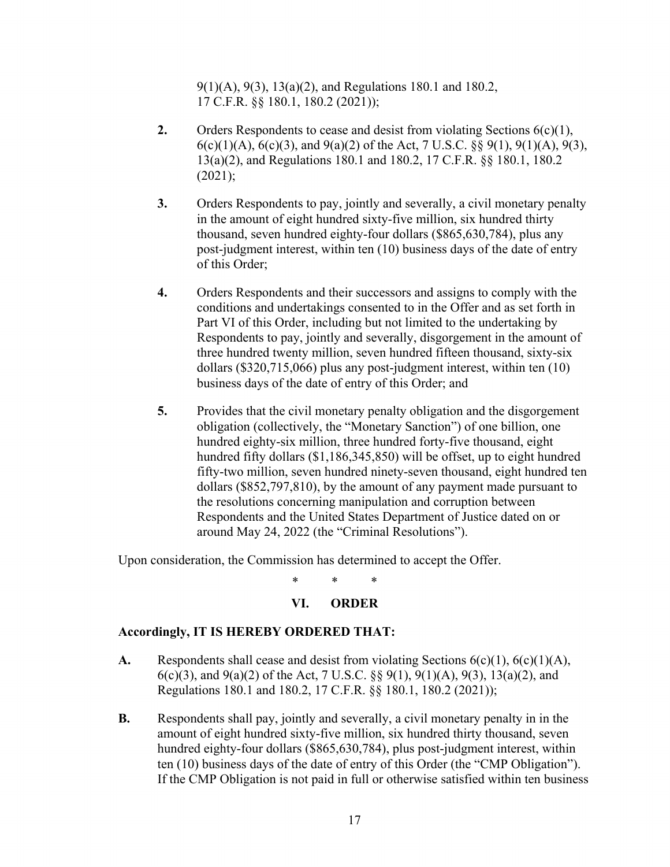9(1)(A), 9(3), 13(a)(2), and Regulations 180.1 and 180.2, 17 C.F.R. §§ 180.1, 180.2 (2021));

- **2.** Orders Respondents to cease and desist from violating Sections 6(c)(1),  $6(c)(1)(A), 6(c)(3),$  and  $9(a)(2)$  of the Act, 7 U.S.C. §§  $9(1), 9(1)(A), 9(3),$ 13(a)(2), and Regulations 180.1 and 180.2, 17 C.F.R. §§ 180.1, 180.2  $(2021);$
- **3.** Orders Respondents to pay, jointly and severally, a civil monetary penalty in the amount of eight hundred sixty-five million, six hundred thirty thousand, seven hundred eighty-four dollars (\$865,630,784), plus any post-judgment interest, within ten (10) business days of the date of entry of this Order;
- **4.** Orders Respondents and their successors and assigns to comply with the conditions and undertakings consented to in the Offer and as set forth in Part VI of this Order, including but not limited to the undertaking by Respondents to pay, jointly and severally, disgorgement in the amount of three hundred twenty million, seven hundred fifteen thousand, sixty-six dollars (\$320,715,066) plus any post-judgment interest, within ten (10) business days of the date of entry of this Order; and
- **5.** Provides that the civil monetary penalty obligation and the disgorgement obligation (collectively, the "Monetary Sanction") of one billion, one hundred eighty-six million, three hundred forty-five thousand, eight hundred fifty dollars (\$1,186,345,850) will be offset, up to eight hundred fifty-two million, seven hundred ninety-seven thousand, eight hundred ten dollars (\$852,797,810), by the amount of any payment made pursuant to the resolutions concerning manipulation and corruption between Respondents and the United States Department of Justice dated on or around May 24, 2022 (the "Criminal Resolutions").

Upon consideration, the Commission has determined to accept the Offer.

\* \* \*

## **VI. ORDER**

## **Accordingly, IT IS HEREBY ORDERED THAT:**

- **A.** Respondents shall cease and desist from violating Sections 6(c)(1), 6(c)(1)(A), 6(c)(3), and 9(a)(2) of the Act, 7 U.S.C. §§ 9(1), 9(1)(A), 9(3), 13(a)(2), and Regulations 180.1 and 180.2, 17 C.F.R. §§ 180.1, 180.2 (2021));
- **B.** Respondents shall pay, jointly and severally, a civil monetary penalty in in the amount of eight hundred sixty-five million, six hundred thirty thousand, seven hundred eighty-four dollars (\$865,630,784), plus post-judgment interest, within ten (10) business days of the date of entry of this Order (the "CMP Obligation"). If the CMP Obligation is not paid in full or otherwise satisfied within ten business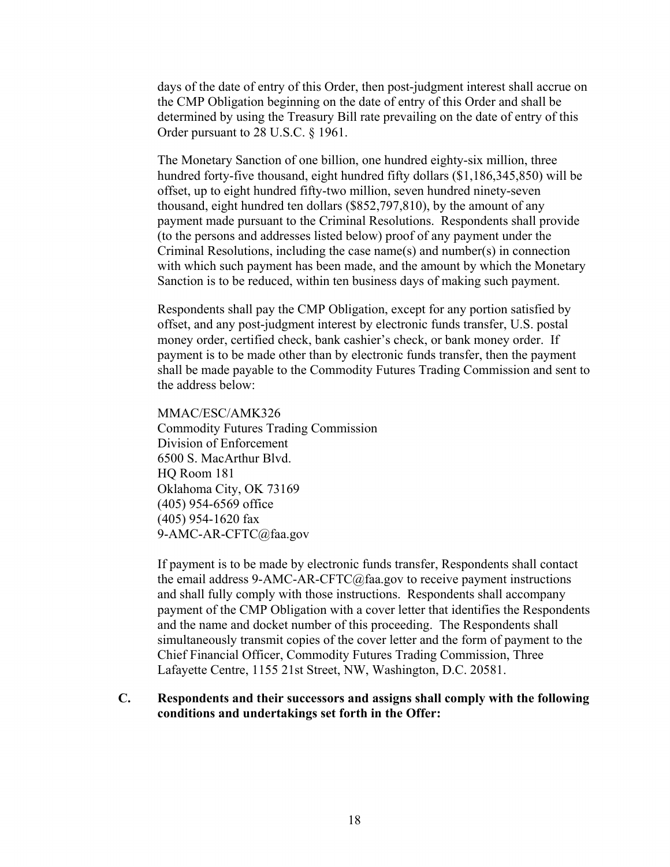days of the date of entry of this Order, then post-judgment interest shall accrue on the CMP Obligation beginning on the date of entry of this Order and shall be determined by using the Treasury Bill rate prevailing on the date of entry of this Order pursuant to 28 U.S.C. § 1961.

The Monetary Sanction of one billion, one hundred eighty-six million, three hundred forty-five thousand, eight hundred fifty dollars (\$1,186,345,850) will be offset, up to eight hundred fifty-two million, seven hundred ninety-seven thousand, eight hundred ten dollars (\$852,797,810), by the amount of any payment made pursuant to the Criminal Resolutions. Respondents shall provide (to the persons and addresses listed below) proof of any payment under the Criminal Resolutions, including the case name(s) and number(s) in connection with which such payment has been made, and the amount by which the Monetary Sanction is to be reduced, within ten business days of making such payment.

Respondents shall pay the CMP Obligation, except for any portion satisfied by offset, and any post-judgment interest by electronic funds transfer, U.S. postal money order, certified check, bank cashier's check, or bank money order. If payment is to be made other than by electronic funds transfer, then the payment shall be made payable to the Commodity Futures Trading Commission and sent to the address below:

#### MMAC/ESC/AMK326

Commodity Futures Trading Commission Division of Enforcement 6500 S. MacArthur Blvd. HQ Room 181 Oklahoma City, OK 73169 (405) 954-6569 office (405) 954-1620 fax 9-AMC-AR-CFTC@faa.gov

If payment is to be made by electronic funds transfer, Respondents shall contact the email address 9-AMC-AR-CFTC@faa.gov to receive payment instructions and shall fully comply with those instructions. Respondents shall accompany payment of the CMP Obligation with a cover letter that identifies the Respondents and the name and docket number of this proceeding. The Respondents shall simultaneously transmit copies of the cover letter and the form of payment to the Chief Financial Officer, Commodity Futures Trading Commission, Three Lafayette Centre, 1155 21st Street, NW, Washington, D.C. 20581.

## **C. Respondents and their successors and assigns shall comply with the following conditions and undertakings set forth in the Offer:**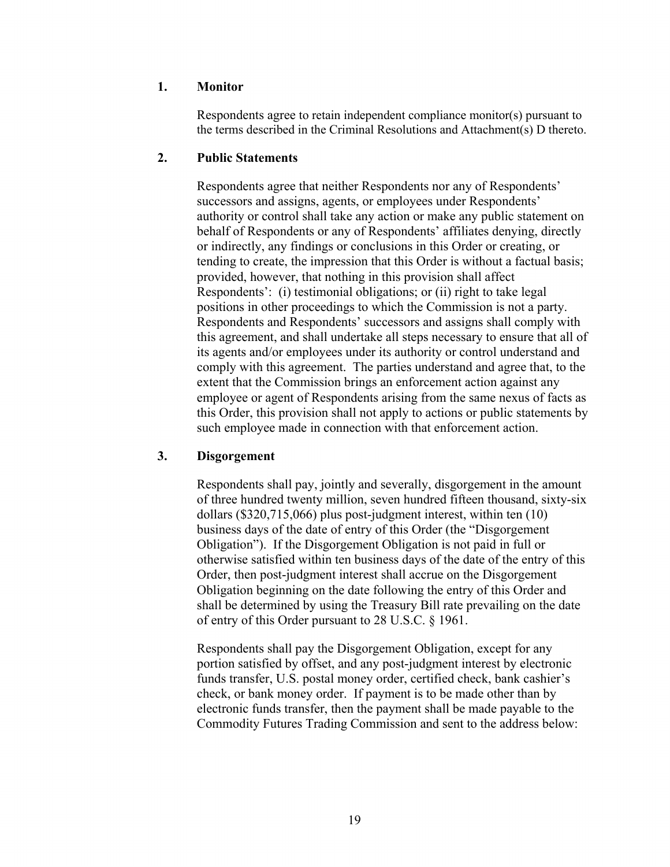## **1. Monitor**

Respondents agree to retain independent compliance monitor(s) pursuant to the terms described in the Criminal Resolutions and Attachment(s) D thereto.

## **2. Public Statements**

Respondents agree that neither Respondents nor any of Respondents' successors and assigns, agents, or employees under Respondents' authority or control shall take any action or make any public statement on behalf of Respondents or any of Respondents' affiliates denying, directly or indirectly, any findings or conclusions in this Order or creating, or tending to create, the impression that this Order is without a factual basis; provided, however, that nothing in this provision shall affect Respondents': (i) testimonial obligations; or (ii) right to take legal positions in other proceedings to which the Commission is not a party. Respondents and Respondents' successors and assigns shall comply with this agreement, and shall undertake all steps necessary to ensure that all of its agents and/or employees under its authority or control understand and comply with this agreement. The parties understand and agree that, to the extent that the Commission brings an enforcement action against any employee or agent of Respondents arising from the same nexus of facts as this Order, this provision shall not apply to actions or public statements by such employee made in connection with that enforcement action.

# **3. Disgorgement**

Respondents shall pay, jointly and severally, disgorgement in the amount of three hundred twenty million, seven hundred fifteen thousand, sixty-six dollars (\$320,715,066) plus post-judgment interest, within ten (10) business days of the date of entry of this Order (the "Disgorgement Obligation"). If the Disgorgement Obligation is not paid in full or otherwise satisfied within ten business days of the date of the entry of this Order, then post-judgment interest shall accrue on the Disgorgement Obligation beginning on the date following the entry of this Order and shall be determined by using the Treasury Bill rate prevailing on the date of entry of this Order pursuant to 28 U.S.C. § 1961.

Respondents shall pay the Disgorgement Obligation, except for any portion satisfied by offset, and any post-judgment interest by electronic funds transfer, U.S. postal money order, certified check, bank cashier's check, or bank money order. If payment is to be made other than by electronic funds transfer, then the payment shall be made payable to the Commodity Futures Trading Commission and sent to the address below: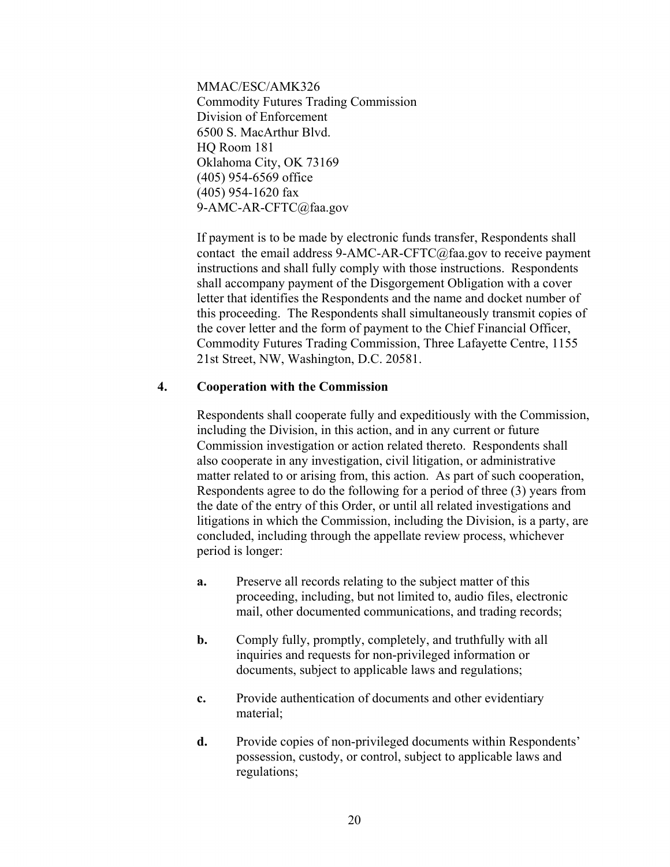MMAC/ESC/AMK326 Commodity Futures Trading Commission Division of Enforcement 6500 S. MacArthur Blvd. HQ Room 181 Oklahoma City, OK 73169 (405) 954-6569 office (405) 954-1620 fax 9-AMC-AR-CFTC@faa.gov

If payment is to be made by electronic funds transfer, Respondents shall contact the email address 9-AMC-AR-CFTC@faa.gov to receive payment instructions and shall fully comply with those instructions. Respondents shall accompany payment of the Disgorgement Obligation with a cover letter that identifies the Respondents and the name and docket number of this proceeding. The Respondents shall simultaneously transmit copies of the cover letter and the form of payment to the Chief Financial Officer, Commodity Futures Trading Commission, Three Lafayette Centre, 1155 21st Street, NW, Washington, D.C. 20581.

## **4. Cooperation with the Commission**

Respondents shall cooperate fully and expeditiously with the Commission, including the Division, in this action, and in any current or future Commission investigation or action related thereto. Respondents shall also cooperate in any investigation, civil litigation, or administrative matter related to or arising from, this action. As part of such cooperation, Respondents agree to do the following for a period of three (3) years from the date of the entry of this Order, or until all related investigations and litigations in which the Commission, including the Division, is a party, are concluded, including through the appellate review process, whichever period is longer:

- **a.** Preserve all records relating to the subject matter of this proceeding, including, but not limited to, audio files, electronic mail, other documented communications, and trading records;
- **b.** Comply fully, promptly, completely, and truthfully with all inquiries and requests for non-privileged information or documents, subject to applicable laws and regulations;
- **c.** Provide authentication of documents and other evidentiary material;
- **d.** Provide copies of non-privileged documents within Respondents' possession, custody, or control, subject to applicable laws and regulations;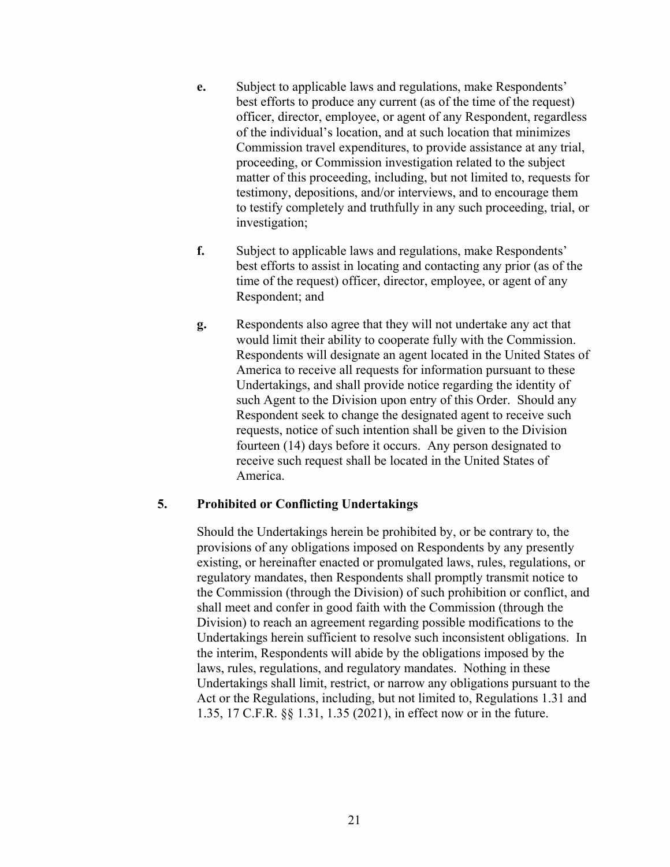- **e.** Subject to applicable laws and regulations, make Respondents' best efforts to produce any current (as of the time of the request) officer, director, employee, or agent of any Respondent, regardless of the individual's location, and at such location that minimizes Commission travel expenditures, to provide assistance at any trial, proceeding, or Commission investigation related to the subject matter of this proceeding, including, but not limited to, requests for testimony, depositions, and/or interviews, and to encourage them to testify completely and truthfully in any such proceeding, trial, or investigation;
- **f.** Subject to applicable laws and regulations, make Respondents' best efforts to assist in locating and contacting any prior (as of the time of the request) officer, director, employee, or agent of any Respondent; and
- **g.** Respondents also agree that they will not undertake any act that would limit their ability to cooperate fully with the Commission. Respondents will designate an agent located in the United States of America to receive all requests for information pursuant to these Undertakings, and shall provide notice regarding the identity of such Agent to the Division upon entry of this Order. Should any Respondent seek to change the designated agent to receive such requests, notice of such intention shall be given to the Division fourteen (14) days before it occurs. Any person designated to receive such request shall be located in the United States of America.

## **5. Prohibited or Conflicting Undertakings**

Should the Undertakings herein be prohibited by, or be contrary to, the provisions of any obligations imposed on Respondents by any presently existing, or hereinafter enacted or promulgated laws, rules, regulations, or regulatory mandates, then Respondents shall promptly transmit notice to the Commission (through the Division) of such prohibition or conflict, and shall meet and confer in good faith with the Commission (through the Division) to reach an agreement regarding possible modifications to the Undertakings herein sufficient to resolve such inconsistent obligations. In the interim, Respondents will abide by the obligations imposed by the laws, rules, regulations, and regulatory mandates. Nothing in these Undertakings shall limit, restrict, or narrow any obligations pursuant to the Act or the Regulations, including, but not limited to, Regulations 1.31 and 1.35, 17 C.F.R. §§ 1.31, 1.35 (2021), in effect now or in the future.